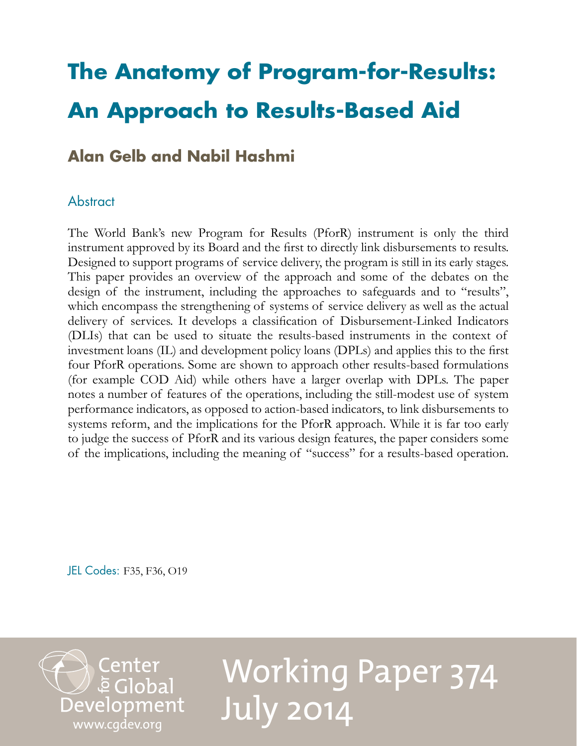# **The Anatomy of Program-for-Results: An Approach to Results-Based Aid**

# **Alan Gelb and Nabil Hashmi**

# **Abstract**

The World Bank's new Program for Results (PforR) instrument is only the third instrument approved by its Board and the first to directly link disbursements to results. Designed to support programs of service delivery, the program is still in its early stages. This paper provides an overview of the approach and some of the debates on the design of the instrument, including the approaches to safeguards and to "results", which encompass the strengthening of systems of service delivery as well as the actual delivery of services. It develops a classification of Disbursement-Linked Indicators (DLIs) that can be used to situate the results-based instruments in the context of investment loans (IL) and development policy loans (DPLs) and applies this to the first four PforR operations. Some are shown to approach other results-based formulations (for example COD Aid) while others have a larger overlap with DPLs. The paper notes a number of features of the operations, including the still-modest use of system performance indicators, as opposed to action-based indicators, to link disbursements to systems reform, and the implications for the PforR approach. While it is far too early to judge the success of PforR and its various design features, the paper considers some of the implications, including the meaning of "success" for a results-based operation.

JEL Codes: F35, F36, O19



Working Paper 374 July 2014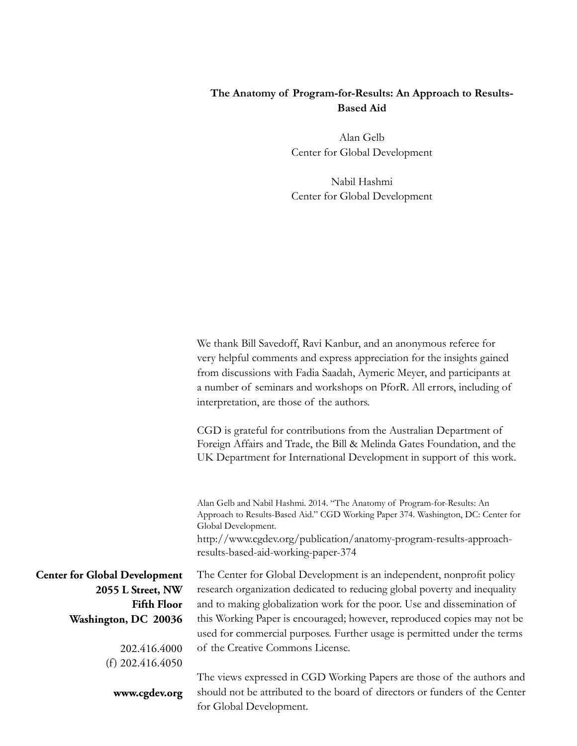# **The Anatomy of Program-for-Results: An Approach to Results-Based Aid**

Alan Gelb Center for Global Development

Nabil Hashmi Center for Global Development

We thank Bill Savedoff, Ravi Kanbur, and an anonymous referee for very helpful comments and express appreciation for the insights gained from discussions with Fadia Saadah, Aymeric Meyer, and participants at a number of seminars and workshops on PforR. All errors, including of interpretation, are those of the authors.

CGD is grateful for contributions from the Australian Department of Foreign Affairs and Trade, the Bill & Melinda Gates Foundation, and the UK Department for International Development in support of this work.

Alan Gelb and Nabil Hashmi. 2014. "The Anatomy of Program-for-Results: An Approach to Results-Based Aid." CGD Working Paper 374. Washington, DC: Center for Global Development. http://www.cgdev.org/publication/anatomy-program-results-approach-

results-based-aid-working-paper-374

The Center for Global Development is an independent, nonprofit policy research organization dedicated to reducing global poverty and inequality and to making globalization work for the poor. Use and dissemination of this Working Paper is encouraged; however, reproduced copies may not be used for commercial purposes. Further usage is permitted under the terms of the Creative Commons License.

The views expressed in CGD Working Papers are those of the authors and should not be attributed to the board of directors or funders of the Center for Global Development.

**Center for Global Development 2055 L Street, NW Fifth Floor Washington, DC 20036**

> 202.416.4000 (f) 202.416.4050

**www.cgdev.org**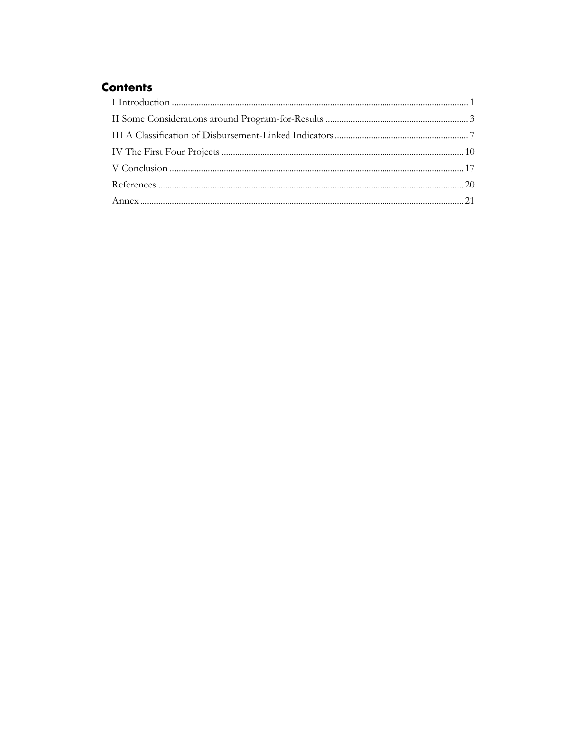# **Contents**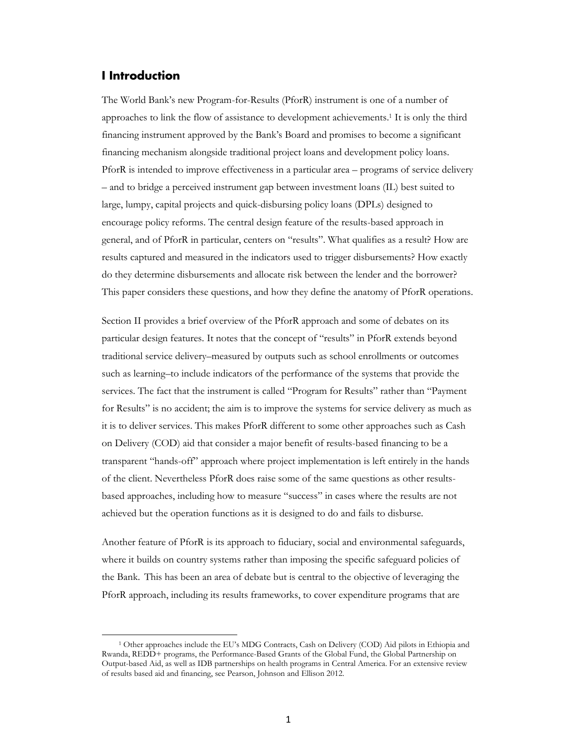# <span id="page-4-0"></span>**I Introduction**

 $\overline{\phantom{a}}$ 

The World Bank's new Program-for-Results (PforR) instrument is one of a number of approaches to link the flow of assistance to development achievements.<sup>1</sup> It is only the third financing instrument approved by the Bank's Board and promises to become a significant financing mechanism alongside traditional project loans and development policy loans. PforR is intended to improve effectiveness in a particular area – programs of service delivery – and to bridge a perceived instrument gap between investment loans (IL) best suited to large, lumpy, capital projects and quick-disbursing policy loans (DPLs) designed to encourage policy reforms. The central design feature of the results-based approach in general, and of PforR in particular, centers on "results". What qualifies as a result? How are results captured and measured in the indicators used to trigger disbursements? How exactly do they determine disbursements and allocate risk between the lender and the borrower? This paper considers these questions, and how they define the anatomy of PforR operations.

Section II provides a brief overview of the PforR approach and some of debates on its particular design features. It notes that the concept of "results" in PforR extends beyond traditional service delivery–measured by outputs such as school enrollments or outcomes such as learning–to include indicators of the performance of the systems that provide the services. The fact that the instrument is called "Program for Results" rather than "Payment for Results" is no accident; the aim is to improve the systems for service delivery as much as it is to deliver services. This makes PforR different to some other approaches such as Cash on Delivery (COD) aid that consider a major benefit of results-based financing to be a transparent "hands-off" approach where project implementation is left entirely in the hands of the client. Nevertheless PforR does raise some of the same questions as other resultsbased approaches, including how to measure "success" in cases where the results are not achieved but the operation functions as it is designed to do and fails to disburse.

Another feature of PforR is its approach to fiduciary, social and environmental safeguards, where it builds on country systems rather than imposing the specific safeguard policies of the Bank. This has been an area of debate but is central to the objective of leveraging the PforR approach, including its results frameworks, to cover expenditure programs that are

<sup>1</sup> Other approaches include the [EU's MDG Contracts](http://ec.europa.eu/europeaid/what/millenium-development-goals/contract_mdg_en.htm), [Cash on Delivery \(COD\) Aid](http://www.cgdev.org/initiative/cash-delivery-aid) pilots in Ethiopia and Rwanda, [REDD+](http://redd-net.org/themes/redd-backgrounder-what-is-redd) programs, th[e Performance-Based Grants of the Global Fund,](http://www.cgdev.org/sites/default/files/Global-Fund-PBF-layout.pdf) th[e Global Partnership on](https://www.gpoba.org/activities)  [Output-based Aid,](https://www.gpoba.org/activities) as well as IDB partnerships on health programs in Central America. For an extensive review of results based aid and financing, see Pearson, Johnson and Ellison 2012.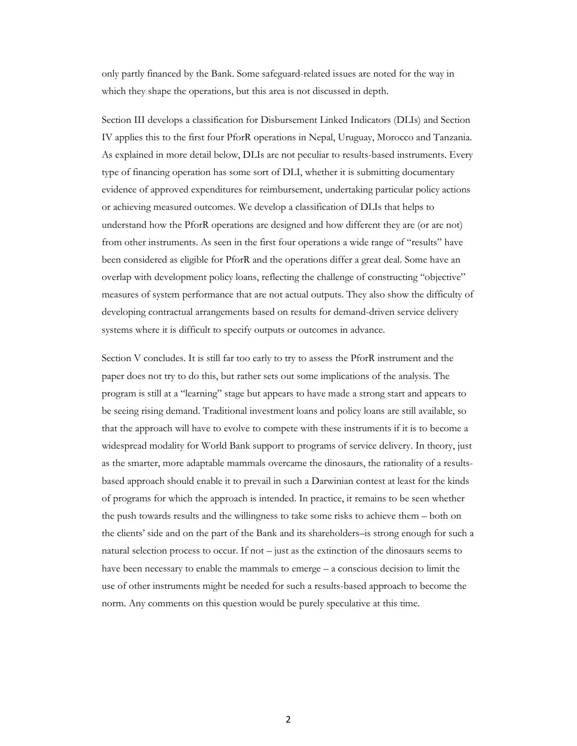only partly financed by the Bank. Some safeguard-related issues are noted for the way in which they shape the operations, but this area is not discussed in depth.

Section III develops a classification for Disbursement Linked Indicators (DLIs) and Section IV applies this to the first four PforR operations in Nepal, Uruguay, Morocco and Tanzania. As explained in more detail below, DLIs are not peculiar to results-based instruments. Every type of financing operation has some sort of DLI, whether it is submitting documentary evidence of approved expenditures for reimbursement, undertaking particular policy actions or achieving measured outcomes. We develop a classification of DLIs that helps to understand how the PforR operations are designed and how different they are (or are not) from other instruments. As seen in the first four operations a wide range of "results" have been considered as eligible for PforR and the operations differ a great deal. Some have an overlap with development policy loans, reflecting the challenge of constructing "objective" measures of system performance that are not actual outputs. They also show the difficulty of developing contractual arrangements based on results for demand-driven service delivery systems where it is difficult to specify outputs or outcomes in advance.

<span id="page-5-0"></span>Section V concludes. It is still far too early to try to assess the PforR instrument and the paper does not try to do this, but rather sets out some implications of the analysis. The program is still at a "learning" stage but appears to have made a strong start and appears to be seeing rising demand. Traditional investment loans and policy loans are still available, so that the approach will have to evolve to compete with these instruments if it is to become a widespread modality for World Bank support to programs of service delivery. In theory, just as the smarter, more adaptable mammals overcame the dinosaurs, the rationality of a resultsbased approach should enable it to prevail in such a Darwinian contest at least for the kinds of programs for which the approach is intended. In practice, it remains to be seen whether the push towards results and the willingness to take some risks to achieve them – both on the clients' side and on the part of the Bank and its shareholders–is strong enough for such a natural selection process to occur. If not – just as the extinction of the dinosaurs seems to have been necessary to enable the mammals to emerge – a conscious decision to limit the use of other instruments might be needed for such a results-based approach to become the norm. Any comments on this question would be purely speculative at this time.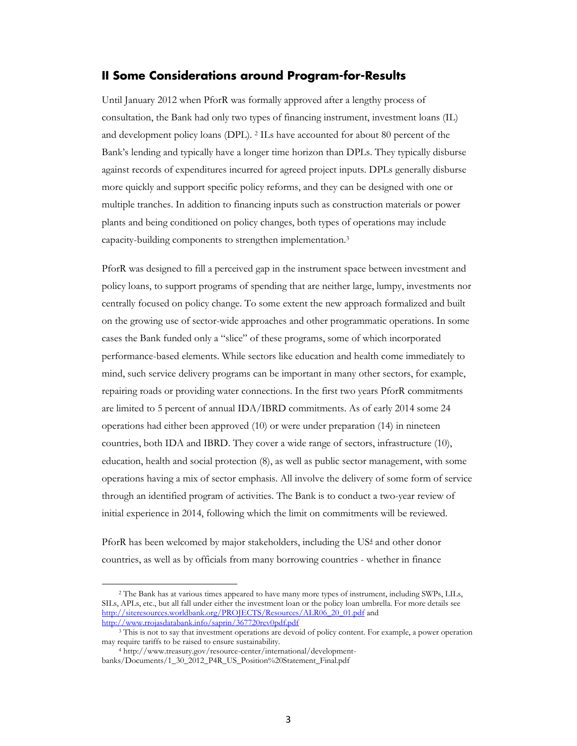### **II Some Considerations around Program-for-Results**

Until January 2012 when PforR was formally approved after a lengthy process of consultation, the Bank had only two types of financing instrument, investment loans (IL) and development policy loans (DPL). <sup>2</sup> ILs have accounted for about 80 percent of the Bank's lending and typically have a longer time horizon than DPLs. They typically disburse against records of expenditures incurred for agreed project inputs. DPLs generally disburse more quickly and support specific policy reforms, and they can be designed with one or multiple tranches. In addition to financing inputs such as construction materials or power plants and being conditioned on policy changes, both types of operations may include capacity-building components to strengthen implementation.<sup>3</sup>

PforR was designed to fill a perceived gap in the instrument space between investment and policy loans, to support programs of spending that are neither large, lumpy, investments nor centrally focused on policy change. To some extent the new approach formalized and built on the growing use of sector-wide approaches and other programmatic operations. In some cases the Bank funded only a "slice" of these programs, some of which incorporated performance-based elements. While sectors like education and health come immediately to mind, such service delivery programs can be important in many other sectors, for example, repairing roads or providing water connections. In the first two years PforR commitments are limited to 5 percent of annual IDA/IBRD commitments. As of early 2014 some 24 operations had either been approved (10) or were under preparation (14) in nineteen countries, both IDA and IBRD. They cover a wide range of sectors, infrastructure (10), education, health and social protection (8), as well as public sector management, with some operations having a mix of sector emphasis. All involve the delivery of some form of service through an identified program of activities. The Bank is to conduct a two-year review of initial experience in 2014, following which the limit on commitments will be reviewed.

PforR has been welcomed by major stakeholders, including the US4 and other donor countries, as well as by officials from many borrowing countries - whether in finance

 $\overline{\phantom{a}}$ 

<sup>2</sup> The Bank has at various times appeared to have many more types of instrument, including SWPs, LILs, SILs, APLs, etc., but all fall under either the investment loan or the policy loan umbrella. For more details see [http://siteresources.worldbank.org/PROJECTS/Resources/ALR06\\_20\\_01.pdf](http://siteresources.worldbank.org/PROJECTS/Resources/ALR06_20_01.pdf) and <http://www.rrojasdatabank.info/saprin/367720rev0pdf.pdf>

<sup>&</sup>lt;sup>3</sup> This is not to say that investment operations are devoid of policy content. For example, a power operation may require tariffs to be raised to ensure sustainability.

<sup>4</sup> http://www.treasury.gov/resource-center/international/developmentbanks/Documents/1\_30\_2012\_P4R\_US\_Position%20Statement\_Final.pdf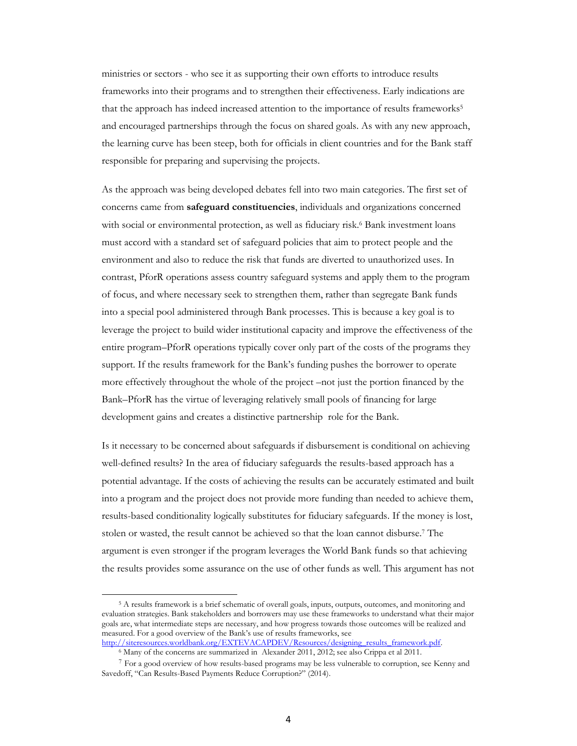ministries or sectors - who see it as supporting their own efforts to introduce results frameworks into their programs and to strengthen their effectiveness. Early indications are that the approach has indeed increased attention to the importance of results frameworks<sup>5</sup> and encouraged partnerships through the focus on shared goals. As with any new approach, the learning curve has been steep, both for officials in client countries and for the Bank staff responsible for preparing and supervising the projects.

As the approach was being developed debates fell into two main categories. The first set of concerns came from **safeguard constituencies**, individuals and organizations concerned with social or environmental protection, as well as fiduciary risk.<sup>6</sup> Bank investment loans must accord with a standard set of safeguard policies that aim to protect people and the environment and also to reduce the risk that funds are diverted to unauthorized uses. In contrast, PforR operations assess country safeguard systems and apply them to the program of focus, and where necessary seek to strengthen them, rather than segregate Bank funds into a special pool administered through Bank processes. This is because a key goal is to leverage the project to build wider institutional capacity and improve the effectiveness of the entire program–PforR operations typically cover only part of the costs of the programs they support. If the results framework for the Bank's funding pushes the borrower to operate more effectively throughout the whole of the project –not just the portion financed by the Bank–PforR has the virtue of leveraging relatively small pools of financing for large development gains and creates a distinctive partnership role for the Bank.

Is it necessary to be concerned about safeguards if disbursement is conditional on achieving well-defined results? In the area of fiduciary safeguards the results-based approach has a potential advantage. If the costs of achieving the results can be accurately estimated and built into a program and the project does not provide more funding than needed to achieve them, results-based conditionality logically substitutes for fiduciary safeguards. If the money is lost, stolen or wasted, the result cannot be achieved so that the loan cannot disburse.<sup>7</sup> The argument is even stronger if the program leverages the World Bank funds so that achieving the results provides some assurance on the use of other funds as well. This argument has not

 $\overline{a}$ 

<sup>5</sup> A results framework is a brief schematic of overall goals, inputs, outputs, outcomes, and monitoring and evaluation strategies. Bank stakeholders and borrowers may use these frameworks to understand what their major goals are, what intermediate steps are necessary, and how progress towards those outcomes will be realized and measured. For a good overview of the Bank's use of results frameworks, see http://siteresources.worldbank.org/EXTEVACAPDEV/Resources/designing\_results\_framework.pdf.

<sup>&</sup>lt;sup>6</sup> Many of the concerns are summarized in Alexander 2011, 2012; see also Crippa et al 2011.

<sup>7</sup> For a good overview of how results-based programs may be less vulnerable to corruption, see Kenny and Savedoff, "Can Results[-Based Payments Reduce Corr](http://www.cgdev.org/sites/default/files/can-results-based-payments-reduce-corruption_0.pdf)uption?" (2014).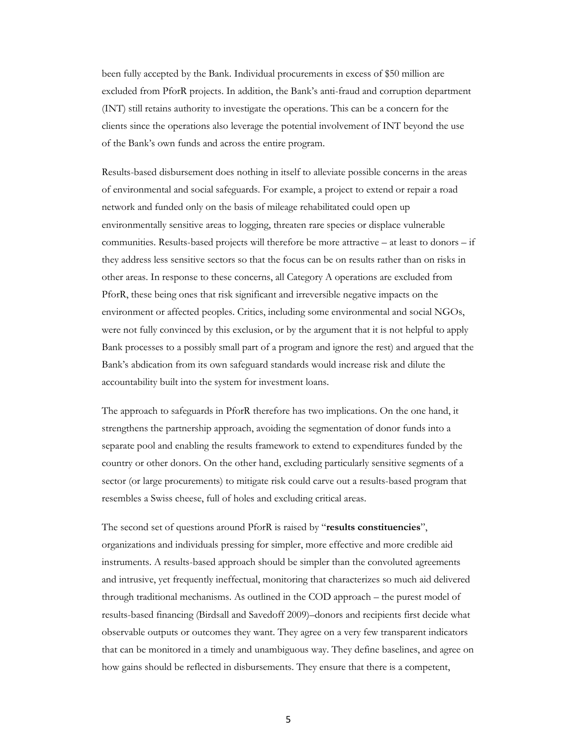been fully accepted by the Bank. Individual procurements in excess of \$50 million are excluded from PforR projects. In addition, the Bank's anti-fraud and corruption department (INT) still retains authority to investigate the operations. This can be a concern for the clients since the operations also leverage the potential involvement of INT beyond the use of the Bank's own funds and across the entire program.

Results-based disbursement does nothing in itself to alleviate possible concerns in the areas of environmental and social safeguards. For example, a project to extend or repair a road network and funded only on the basis of mileage rehabilitated could open up environmentally sensitive areas to logging, threaten rare species or displace vulnerable communities. Results-based projects will therefore be more attractive – at least to donors – if they address less sensitive sectors so that the focus can be on results rather than on risks in other areas. In response to these concerns, all Category A operations are excluded from PforR, these being ones that risk significant and irreversible negative impacts on the environment or affected peoples. Critics, including some environmental and social NGOs, were not fully convinced by this exclusion, or by the argument that it is not helpful to apply Bank processes to a possibly small part of a program and ignore the rest) and argued that the Bank's abdication from its own safeguard standards would increase risk and dilute the accountability built into the system for investment loans.

The approach to safeguards in PforR therefore has two implications. On the one hand, it strengthens the partnership approach, avoiding the segmentation of donor funds into a separate pool and enabling the results framework to extend to expenditures funded by the country or other donors. On the other hand, excluding particularly sensitive segments of a sector (or large procurements) to mitigate risk could carve out a results-based program that resembles a Swiss cheese, full of holes and excluding critical areas.

The second set of questions around PforR is raised by "**results constituencies**", organizations and individuals pressing for simpler, more effective and more credible aid instruments. A results-based approach should be simpler than the convoluted agreements and intrusive, yet frequently ineffectual, monitoring that characterizes so much aid delivered through traditional mechanisms. As outlined in the COD approach – the purest model of results-based financing (Birdsall and Savedoff 2009)–donors and recipients first decide what observable outputs or outcomes they want. They agree on a very few transparent indicators that can be monitored in a timely and unambiguous way. They define baselines, and agree on how gains should be reflected in disbursements. They ensure that there is a competent,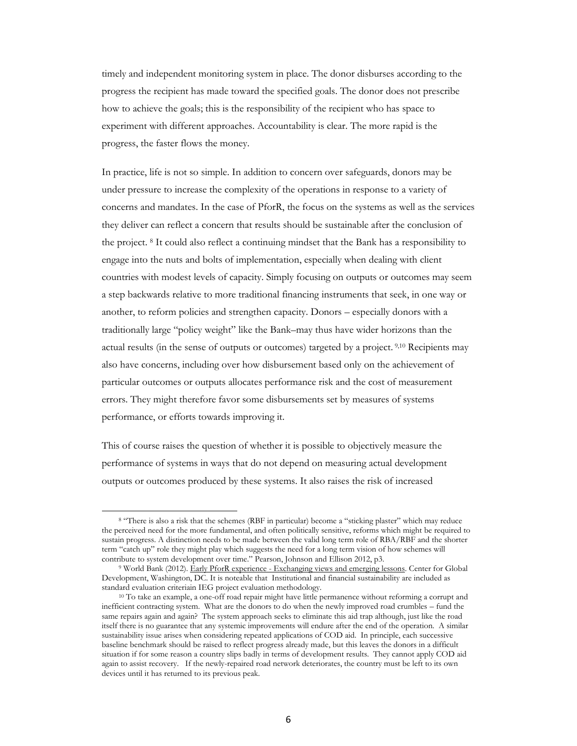timely and independent monitoring system in place. The donor disburses according to the progress the recipient has made toward the specified goals. The donor does not prescribe how to achieve the goals; this is the responsibility of the recipient who has space to experiment with different approaches. Accountability is clear. The more rapid is the progress, the faster flows the money.

In practice, life is not so simple. In addition to concern over safeguards, donors may be under pressure to increase the complexity of the operations in response to a variety of concerns and mandates. In the case of PforR, the focus on the systems as well as the services they deliver can reflect a concern that results should be sustainable after the conclusion of the project. <sup>8</sup> It could also reflect a continuing mindset that the Bank has a responsibility to engage into the nuts and bolts of implementation, especially when dealing with client countries with modest levels of capacity. Simply focusing on outputs or outcomes may seem a step backwards relative to more traditional financing instruments that seek, in one way or another, to reform policies and strengthen capacity. Donors – especially donors with a traditionally large "policy weight" like the Bank–may thus have wider horizons than the actual results (in the sense of outputs or outcomes) targeted by a project. 9,10 Recipients may also have concerns, including over how disbursement based only on the achievement of particular outcomes or outputs allocates performance risk and the cost of measurement errors. They might therefore favor some disbursements set by measures of systems performance, or efforts towards improving it.

This of course raises the question of whether it is possible to objectively measure the performance of systems in ways that do not depend on measuring actual development outputs or outcomes produced by these systems. It also raises the risk of increased

l

<sup>8</sup> "There is also a risk that the schemes (RBF in particular) become a "sticking plaster" which may reduce the perceived need for the more fundamental, and often politically sensitive, reforms which might be required to sustain progress. A distinction needs to be made between the valid long term role of RBA/RBF and the shorter term "catch up" role they might play which suggests the need for a long term vision of how schemes will contribute to system development over time." Pearson, Johnson and Ellison 2012, p3.

<sup>9</sup> World Bank (2012). Early PforR experience - Exchanging views and emerging lessons. Center for Global Development, Washington, DC. It is noteable that Institutional and financial sustainability are included as standard evaluation criteriain IEG project evaluation methodology.

<sup>&</sup>lt;sup>10</sup> To take an example, a one-off road repair might have little permanence without reforming a corrupt and inefficient contracting system. What are the donors to do when the newly improved road crumbles – fund the same repairs again and again? The system approach seeks to eliminate this aid trap although, just like the road itself there is no guarantee that any systemic improvements will endure after the end of the operation. A similar sustainability issue arises when considering repeated applications of COD aid. In principle, each successive baseline benchmark should be raised to reflect progress already made, but this leaves the donors in a difficult situation if for some reason a country slips badly in terms of development results. They cannot apply COD aid again to assist recovery. If the newly-repaired road network deteriorates, the country must be left to its own devices until it has returned to its previous peak.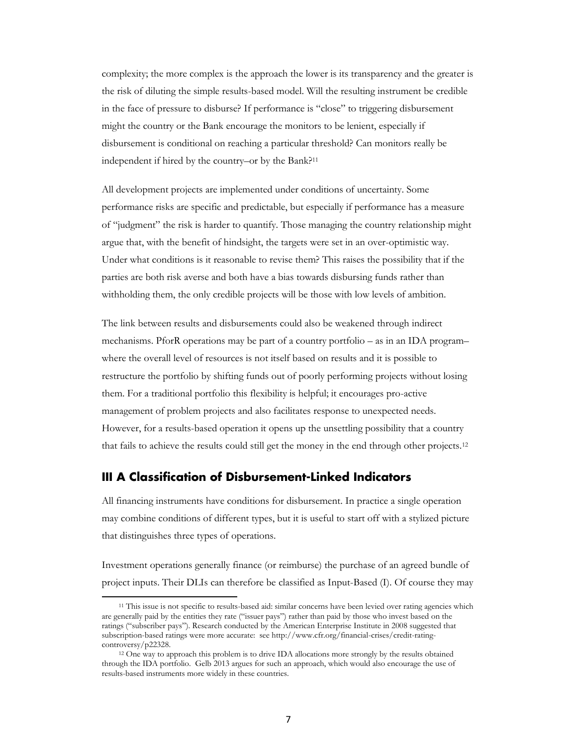complexity; the more complex is the approach the lower is its transparency and the greater is the risk of diluting the simple results-based model. Will the resulting instrument be credible in the face of pressure to disburse? If performance is "close" to triggering disbursement might the country or the Bank encourage the monitors to be lenient, especially if disbursement is conditional on reaching a particular threshold? Can monitors really be independent if hired by the country–or by the Bank?<sup>11</sup>

All development projects are implemented under conditions of uncertainty. Some performance risks are specific and predictable, but especially if performance has a measure of "judgment" the risk is harder to quantify. Those managing the country relationship might argue that, with the benefit of hindsight, the targets were set in an over-optimistic way. Under what conditions is it reasonable to revise them? This raises the possibility that if the parties are both risk averse and both have a bias towards disbursing funds rather than withholding them, the only credible projects will be those with low levels of ambition.

The link between results and disbursements could also be weakened through indirect mechanisms. PforR operations may be part of a country portfolio – as in an IDA program– where the overall level of resources is not itself based on results and it is possible to restructure the portfolio by shifting funds out of poorly performing projects without losing them. For a traditional portfolio this flexibility is helpful; it encourages pro-active management of problem projects and also facilitates response to unexpected needs. However, for a results-based operation it opens up the unsettling possibility that a country that fails to achieve the results could still get the money in the end through other projects.<sup>12</sup>

## <span id="page-10-0"></span>**III A Classification of Disbursement-Linked Indicators**

l

All financing instruments have conditions for disbursement. In practice a single operation may combine conditions of different types, but it is useful to start off with a stylized picture that distinguishes three types of operations.

Investment operations generally finance (or reimburse) the purchase of an agreed bundle of project inputs. Their DLIs can therefore be classified as Input-Based (I). Of course they may

<sup>&</sup>lt;sup>11</sup> This issue is not specific to results-based aid: similar concerns have been levied over rating agencies which are generally paid by the entities they rate ("issuer pays") rather than paid by those who invest based on the ratings ("subscriber pays"). Research conducted by the American Enterprise Institute in 2008 suggested that subscription-based ratings were more accurate: see http://www.cfr.org/financial-crises/credit-ratingcontroversy/p22328.

<sup>12</sup> One way to approach this problem is to drive IDA allocations more strongly by the results obtained through the IDA portfolio. Gelb 2013 argues for such an approach, which would also encourage the use of results-based instruments more widely in these countries.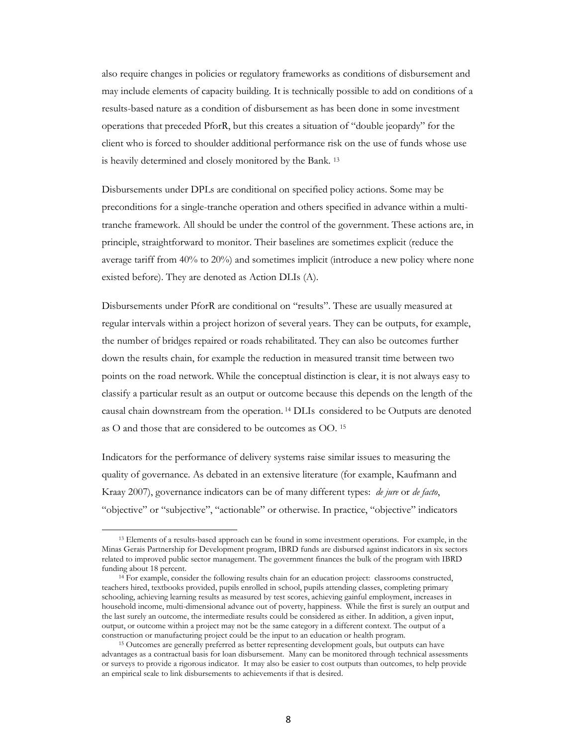also require changes in policies or regulatory frameworks as conditions of disbursement and may include elements of capacity building. It is technically possible to add on conditions of a results-based nature as a condition of disbursement as has been done in some investment operations that preceded PforR, but this creates a situation of "double jeopardy" for the client who is forced to shoulder additional performance risk on the use of funds whose use is heavily determined and closely monitored by the Bank. <sup>13</sup>

Disbursements under DPLs are conditional on specified policy actions. Some may be preconditions for a single-tranche operation and others specified in advance within a multitranche framework. All should be under the control of the government. These actions are, in principle, straightforward to monitor. Their baselines are sometimes explicit (reduce the average tariff from 40% to 20%) and sometimes implicit (introduce a new policy where none existed before). They are denoted as Action DLIs (A).

Disbursements under PforR are conditional on "results". These are usually measured at regular intervals within a project horizon of several years. They can be outputs, for example, the number of bridges repaired or roads rehabilitated. They can also be outcomes further down the results chain, for example the reduction in measured transit time between two points on the road network. While the conceptual distinction is clear, it is not always easy to classify a particular result as an output or outcome because this depends on the length of the causal chain downstream from the operation. <sup>14</sup> DLIs considered to be Outputs are denoted as O and those that are considered to be outcomes as OO. <sup>15</sup>

Indicators for the performance of delivery systems raise similar issues to measuring the quality of governance. As debated in an extensive literature (for example, Kaufmann and Kraay 2007), governance indicators can be of many different types: *de jure* or *de facto*, "objective" or "subjective", "actionable" or otherwise. In practice, "objective" indicators

 $\overline{a}$ 

<sup>13</sup> Elements of a results-based approach can be found in some investment operations. For example, in the Minas Gerais Partnership for Development program, IBRD funds are disbursed against indicators in six sectors related to improved public sector management. The government finances the bulk of the program with IBRD funding about 18 percent.

<sup>14</sup> For example, consider the following results chain for an education project: classrooms constructed, teachers hired, textbooks provided, pupils enrolled in school, pupils attending classes, completing primary schooling, achieving learning results as measured by test scores, achieving gainful employment, increases in household income, multi-dimensional advance out of poverty, happiness. While the first is surely an output and the last surely an outcome, the intermediate results could be considered as either. In addition, a given input, output, or outcome within a project may not be the same category in a different context. The output of a construction or manufacturing project could be the input to an education or health program.

<sup>15</sup> Outcomes are generally preferred as better representing development goals, but outputs can have advantages as a contractual basis for loan disbursement. Many can be monitored through technical assessments or surveys to provide a rigorous indicator. It may also be easier to cost outputs than outcomes, to help provide an empirical scale to link disbursements to achievements if that is desired.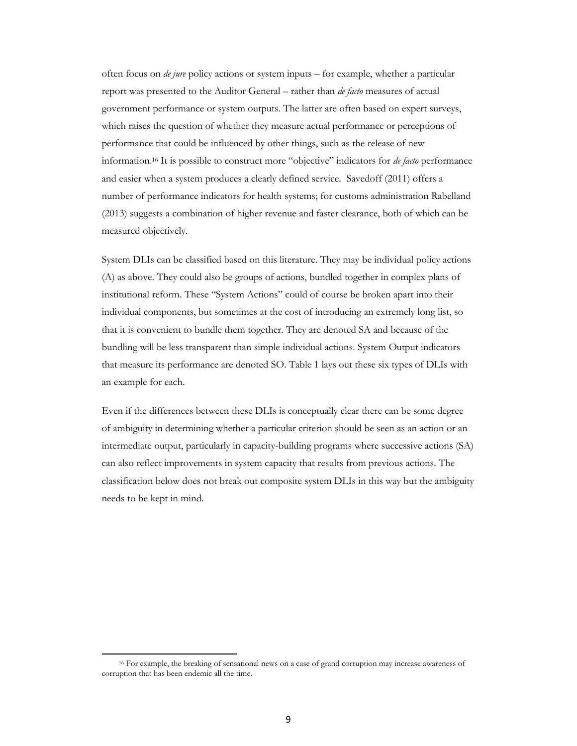often focus on *de jure* policy actions or system inputs – for example, whether a particular report was presented to the Auditor General – rather than *de facto* measures of actual government performance or system outputs. The latter are often based on expert surveys, which raises the question of whether they measure actual performance or perceptions of performance that could be influenced by other things, such as the release of new information.<sup>16</sup> It is possible to construct more "objective" indicators for *de facto* performance and easier when a system produces a clearly defined service. Savedoff (2011) offers a number of performance indicators for health systems; for customs administration Rabelland (2013) suggests a combination of higher revenue and faster clearance, both of which can be measured objectively.

System DLIs can be classified based on this literature. They may be individual policy actions (A) as above. They could also be groups of actions, bundled together in complex plans of institutional reform. These "System Actions" could of course be broken apart into their individual components, but sometimes at the cost of introducing an extremely long list, so that it is convenient to bundle them together. They are denoted SA and because of the bundling will be less transparent than simple individual actions. System Output indicators that measure its performance are denoted SO. Table 1 lays out these six types of DLIs with an example for each.

Even if the differences between these DLIs is conceptually clear there can be some degree of ambiguity in determining whether a particular criterion should be seen as an action or an intermediate output, particularly in capacity-building programs where successive actions (SA) can also reflect improvements in system capacity that results from previous actions. The classification below does not break out composite system DLIs in this way but the ambiguity needs to be kept in mind.

 $\overline{a}$ 

<sup>16</sup> For example, the breaking of sensational news on a case of grand corruption may increase awareness of corruption that has been endemic all the time.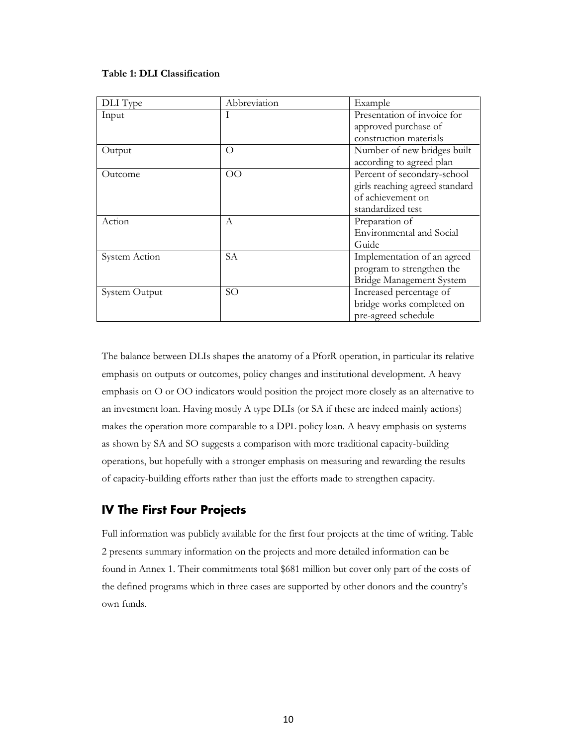#### **Table 1: DLI Classification**

| DLI Type      | Abbreviation | Example                        |
|---------------|--------------|--------------------------------|
| Input         |              | Presentation of invoice for    |
|               |              | approved purchase of           |
|               |              | construction materials         |
| Output        | O            | Number of new bridges built    |
|               |              | according to agreed plan       |
| Outcome       | OO           | Percent of secondary-school    |
|               |              | girls reaching agreed standard |
|               |              | of achievement on              |
|               |              | standardized test              |
| Action        | А            | Preparation of                 |
|               |              | Environmental and Social       |
|               |              | Guide                          |
| System Action | SА           | Implementation of an agreed    |
|               |              | program to strengthen the      |
|               |              | Bridge Management System       |
| System Output | SO           | Increased percentage of        |
|               |              | bridge works completed on      |
|               |              | pre-agreed schedule            |

The balance between DLIs shapes the anatomy of a PforR operation, in particular its relative emphasis on outputs or outcomes, policy changes and institutional development. A heavy emphasis on O or OO indicators would position the project more closely as an alternative to an investment loan. Having mostly A type DLIs (or SA if these are indeed mainly actions) makes the operation more comparable to a DPL policy loan. A heavy emphasis on systems as shown by SA and SO suggests a comparison with more traditional capacity-building operations, but hopefully with a stronger emphasis on measuring and rewarding the results of capacity-building efforts rather than just the efforts made to strengthen capacity.

# <span id="page-13-0"></span>**IV The First Four Projects**

Full information was publicly available for the first four projects at the time of writing. Table 2 presents summary information on the projects and more detailed information can be found in Annex 1. Their commitments total \$681 million but cover only part of the costs of the defined programs which in three cases are supported by other donors and the country's own funds.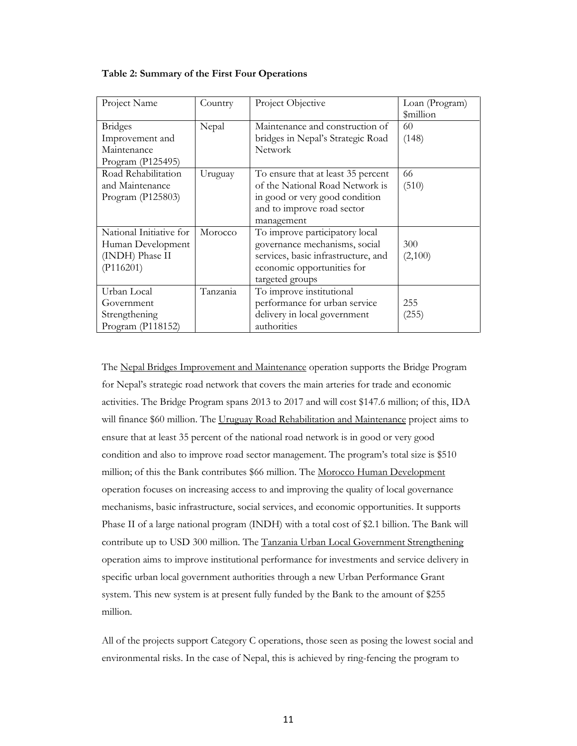| Project Name                                                                                 | Country          | Project Objective                                                                                                                                       | Loan (Program)<br><i><b>\$million</b></i> |
|----------------------------------------------------------------------------------------------|------------------|---------------------------------------------------------------------------------------------------------------------------------------------------------|-------------------------------------------|
| <b>Bridges</b><br>Improvement and<br>Maintenance<br>Program (P125495)<br>Road Rehabilitation | Nepal<br>Uruguay | Maintenance and construction of<br>bridges in Nepal's Strategic Road<br><b>Network</b><br>To ensure that at least 35 percent                            | 60<br>(148)<br>66                         |
| and Maintenance<br>Program (P125803)                                                         |                  | of the National Road Network is<br>in good or very good condition<br>and to improve road sector<br>management                                           | (510)                                     |
| National Initiative for<br>Human Development<br>(INDH) Phase II<br>(P116201)                 | Morocco          | To improve participatory local<br>governance mechanisms, social<br>services, basic infrastructure, and<br>economic opportunities for<br>targeted groups | 300<br>(2,100)                            |
| Urban Local<br>Government<br>Strengthening<br>Program (P118152)                              | Tanzania         | To improve institutional<br>performance for urban service<br>delivery in local government<br>authorities                                                | 255<br>(255)                              |

#### **Table 2: Summary of the First Four Operations**

The Nepal Bridges Improvement and Maintenance operation supports the Bridge Program for Nepal's strategic road network that covers the main arteries for trade and economic activities. The Bridge Program spans 2013 to 2017 and will cost \$147.6 million; of this, IDA will finance \$60 million. The Uruguay Road Rehabilitation and Maintenance project aims to ensure that at least 35 percent of the national road network is in good or very good condition and also to improve road sector management. The program's total size is \$510 million; of this the Bank contributes \$66 million. The Morocco Human Development operation focuses on increasing access to and improving the quality of local governance mechanisms, basic infrastructure, social services, and economic opportunities. It supports Phase II of a large national program (INDH) with a total cost of \$2.1 billion. The Bank will contribute up to USD 300 million. The Tanzania Urban Local Government Strengthening operation aims to improve institutional performance for investments and service delivery in specific urban local government authorities through a new Urban Performance Grant system. This new system is at present fully funded by the Bank to the amount of \$255 million.

All of the projects support Category C operations, those seen as posing the lowest social and environmental risks. In the case of Nepal, this is achieved by ring-fencing the program to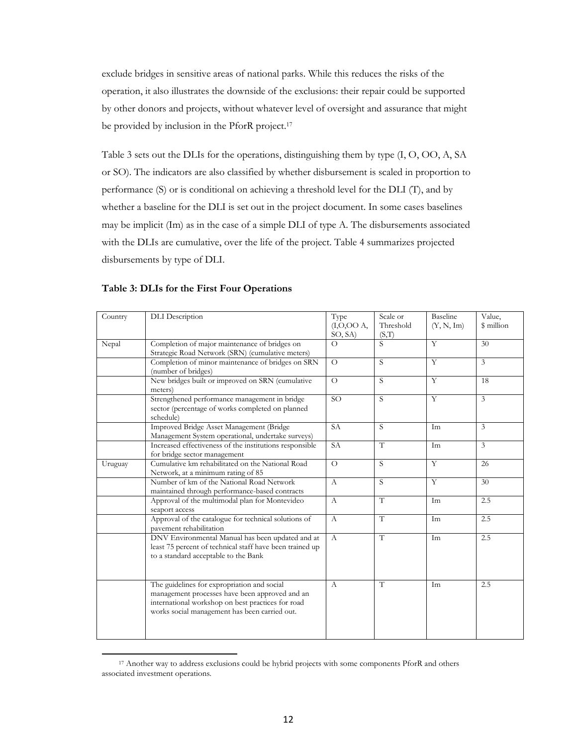exclude bridges in sensitive areas of national parks. While this reduces the risks of the operation, it also illustrates the downside of the exclusions: their repair could be supported by other donors and projects, without whatever level of oversight and assurance that might be provided by inclusion in the PforR project.<sup>17</sup>

Table 3 sets out the DLIs for the operations, distinguishing them by type (I, O, OO, A, SA or SO). The indicators are also classified by whether disbursement is scaled in proportion to performance (S) or is conditional on achieving a threshold level for the DLI (T), and by whether a baseline for the DLI is set out in the project document. In some cases baselines may be implicit (Im) as in the case of a simple DLI of type A. The disbursements associated with the DLIs are cumulative, over the life of the project. Table 4 summarizes projected disbursements by type of DLI.

| Table 3: DLIs for the First Four Operations |  |
|---------------------------------------------|--|
|                                             |  |

 $\overline{a}$ 

| Country | <b>DLI</b> Description                                                                                                                                                                              | Type<br>(I, O, OOA,<br>SO, SA) | Scale or<br>Threshold<br>(S,T) | Baseline<br>(Y, N, Im) | Value,<br>\$ million |
|---------|-----------------------------------------------------------------------------------------------------------------------------------------------------------------------------------------------------|--------------------------------|--------------------------------|------------------------|----------------------|
| Nepal   | Completion of major maintenance of bridges on<br>Strategic Road Network (SRN) (cumulative meters)                                                                                                   | $\Omega$                       | S                              | Y                      | 30                   |
|         | Completion of minor maintenance of bridges on SRN<br>(number of bridges)                                                                                                                            | $\Omega$                       | S                              | Y                      | $\overline{3}$       |
|         | New bridges built or improved on SRN (cumulative<br>meters)                                                                                                                                         | $\Omega$                       | S.                             | Y                      | 18                   |
|         | Strengthened performance management in bridge<br>sector (percentage of works completed on planned<br>schedule)                                                                                      | SO <sub>1</sub>                | S                              | Y                      | 3                    |
|         | Improved Bridge Asset Management (Bridge<br>Management System operational, undertake surveys)                                                                                                       | <b>SA</b>                      | S                              | Im                     | 3                    |
|         | Increased effectiveness of the institutions responsible<br>for bridge sector management                                                                                                             | <b>SA</b>                      | T                              | Im                     | $\overline{3}$       |
| Uruguay | Cumulative km rehabilitated on the National Road<br>Network, at a minimum rating of 85                                                                                                              | $\Omega$                       | $\overline{S}$                 | $\overline{Y}$         | 26                   |
|         | Number of km of the National Road Network<br>maintained through performance-based contracts                                                                                                         | $\mathbf{A}$                   | S                              | $\overline{Y}$         | $\overline{30}$      |
|         | Approval of the multimodal plan for Montevideo<br>seaport access                                                                                                                                    | $\mathsf{A}$                   | T                              | Im                     | 2.5                  |
|         | Approval of the catalogue for technical solutions of<br>pavement rehabilitation                                                                                                                     | $\mathbf{A}$                   | T                              | Im                     | 2.5                  |
|         | DNV Environmental Manual has been updated and at<br>least 75 percent of technical staff have been trained up<br>to a standard acceptable to the Bank                                                | $\mathbf{A}$                   | T                              | Im                     | 2.5                  |
|         | The guidelines for expropriation and social<br>management processes have been approved and an<br>international workshop on best practices for road<br>works social management has been carried out. | $\mathbf{A}$                   | T                              | Im                     | 2.5                  |

<sup>&</sup>lt;sup>17</sup> Another way to address exclusions could be hybrid projects with some components PforR and others associated investment operations.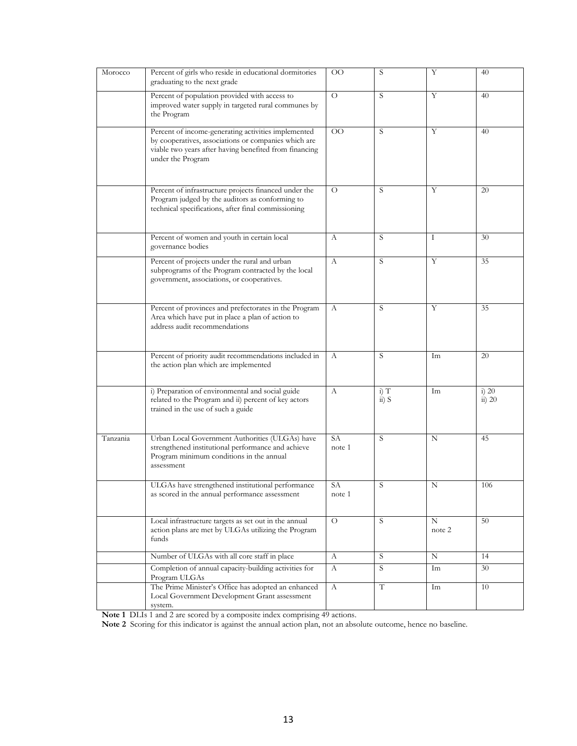| Morocco  | Percent of girls who reside in educational dormitories<br>graduating to the next grade                                                                                                     | $\rm{OO}$       | S                        | Υ           | 40                        |
|----------|--------------------------------------------------------------------------------------------------------------------------------------------------------------------------------------------|-----------------|--------------------------|-------------|---------------------------|
|          | Percent of population provided with access to<br>improved water supply in targeted rural communes by<br>the Program                                                                        | $\circ$         | S                        | Y           | 40                        |
|          | Percent of income-generating activities implemented<br>by cooperatives, associations or companies which are<br>viable two years after having benefited from financing<br>under the Program | $\overline{O}O$ | S                        | Y           | 40                        |
|          | Percent of infrastructure projects financed under the<br>Program judged by the auditors as conforming to<br>technical specifications, after final commissioning                            | $\Omega$        | S                        | Y           | 20                        |
|          | Percent of women and youth in certain local<br>governance bodies                                                                                                                           | А               | S                        | Ι           | 30                        |
|          | Percent of projects under the rural and urban<br>subprograms of the Program contracted by the local<br>government, associations, or cooperatives.                                          | А               | S                        | Y           | 35                        |
|          | Percent of provinces and prefectorates in the Program<br>Area which have put in place a plan of action to<br>address audit recommendations                                                 | А               | S                        | Y           | 35                        |
|          | Percent of priority audit recommendations included in<br>the action plan which are implemented                                                                                             | A               | S                        | Im          | 20                        |
|          | i) Preparation of environmental and social guide<br>related to the Program and ii) percent of key actors<br>trained in the use of such a guide                                             | $\mathbf{A}$    | $i)$ T<br>$\dddot{a}) S$ | Im          | $i)$ 20<br>$\ddot{a}) 20$ |
| Tanzania | Urban Local Government Authorities (ULGAs) have<br>strengthened institutional performance and achieve<br>Program minimum conditions in the annual<br>assessment                            | SA<br>note 1    | S                        | N           | 45                        |
|          | ULGAs have strengthened institutional performance<br>as scored in the annual performance assessment                                                                                        | SA<br>note 1    | S                        | N           | 106                       |
|          | Local infrastructure targets as set out in the annual<br>action plans are met by ULGAs utilizing the Program<br>funds                                                                      | $\Omega$        | S.                       | N<br>note 2 | 50                        |
|          | Number of ULGAs with all core staff in place                                                                                                                                               | A               | S                        | N           | 14                        |
|          | Completion of annual capacity-building activities for<br>Program ULGAs                                                                                                                     | А               | S                        | Im          | 30                        |
|          | The Prime Minister's Office has adopted an enhanced<br>Local Government Development Grant assessment<br>system.                                                                            | A               | T                        | Im          | 10                        |

**Note 1** DLIs 1 and 2 are scored by a composite index comprising 49 actions.

**Note 2** Scoring for this indicator is against the annual action plan, not an absolute outcome, hence no baseline.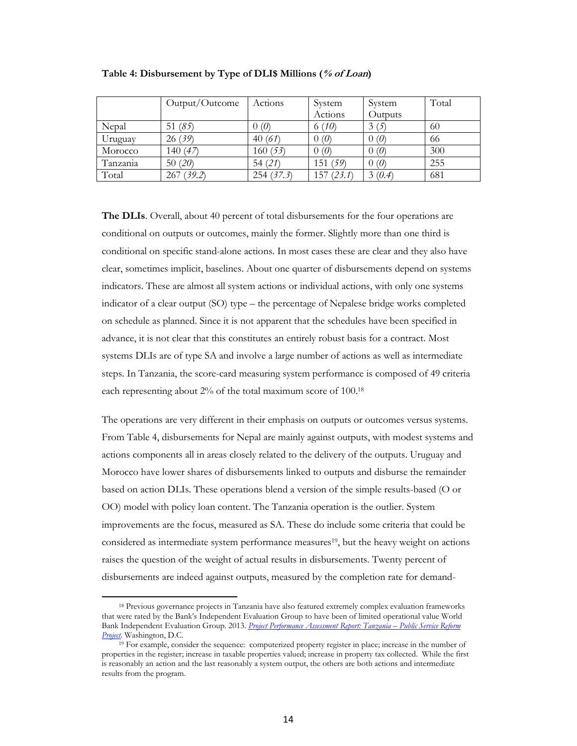|          | Output/Outcome | Actions   | System    | System  | Total |
|----------|----------------|-----------|-----------|---------|-------|
|          |                |           | Actions   | Outputs |       |
| Nepal    | 51 $(85)$      | 0(0)      | 6(10)     | 3(5)    | 60    |
| Uruguay  | 26 (39)        | 40(61)    | 0(0)      | 0(0)    | 66    |
| Morocco  | 140 $(47)$     | 160(53)   | 0(0)      | 0(0)    | 300   |
| Tanzania | 50(20)         | 54(21)    | 151 (59)  | 0(0)    | 255   |
| Total    | 267 (39.2)     | 254(37.3) | 157(23.1) | 3(0.4)  | 681   |

**Table 4: Disbursement by Type of DLI\$ Millions (% of Loan)**

**The DLIs**. Overall, about 40 percent of total disbursements for the four operations are conditional on outputs or outcomes, mainly the former. Slightly more than one third is conditional on specific stand-alone actions. In most cases these are clear and they also have clear, sometimes implicit, baselines. About one quarter of disbursements depend on systems indicators. These are almost all system actions or individual actions, with only one systems indicator of a clear output (SO) type – the percentage of Nepalese bridge works completed on schedule as planned. Since it is not apparent that the schedules have been specified in advance, it is not clear that this constitutes an entirely robust basis for a contract. Most systems DLIs are of type SA and involve a large number of actions as well as intermediate steps. In Tanzania, the score-card measuring system performance is composed of 49 criteria each representing about 2% of the total maximum score of 100.<sup>18</sup>

The operations are very different in their emphasis on outputs or outcomes versus systems. From Table 4, disbursements for Nepal are mainly against outputs, with modest systems and actions components all in areas closely related to the delivery of the outputs. Uruguay and Morocco have lower shares of disbursements linked to outputs and disburse the remainder based on action DLIs. These operations blend a version of the simple results-based (O or OO) model with policy loan content. The Tanzania operation is the outlier. System improvements are the focus, measured as SA. These do include some criteria that could be considered as intermediate system performance measures<sup>19</sup>, but the heavy weight on actions raises the question of the weight of actual results in disbursements. Twenty percent of disbursements are indeed against outputs, measured by the completion rate for demand-

l

<sup>18</sup> Previous governance projects in Tanzania have also featured extremely complex evaluation frameworks that were rated by the Bank's Independent Evaluation Group to have been of limited operational value World Bank Independent Evaluation Group. 2013. *[Project Performance Assessment](https://ieg.worldbankgroup.org/Data/reports/PPAR-78779-P060833-Tanzania_Public_Service_Reform.pdf) Report: Tanzania – Public Service Reform [Project](https://ieg.worldbankgroup.org/Data/reports/PPAR-78779-P060833-Tanzania_Public_Service_Reform.pdf)*. Washington, D.C.

<sup>&</sup>lt;sup>19</sup> For example, consider the sequence: computerized property register in place; increase in the number of properties in the register; increase in taxable properties valued; increase in property tax collected. While the first is reasonably an action and the last reasonably a system output, the others are both actions and intermediate results from the program.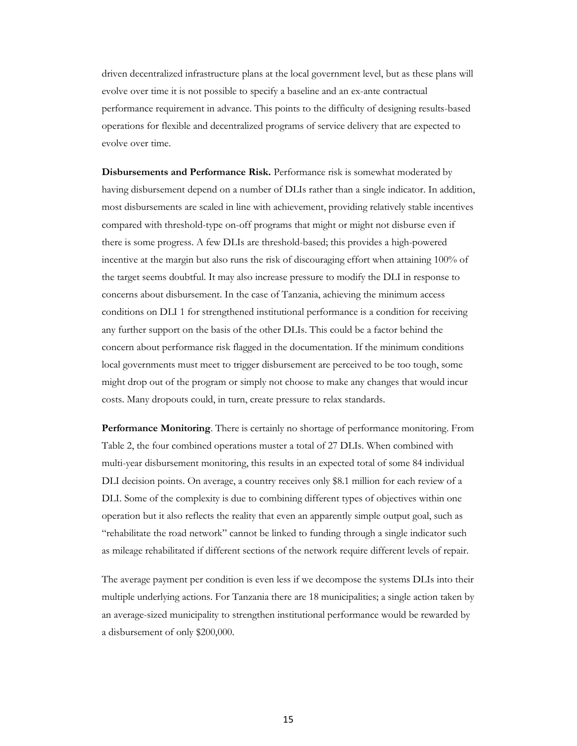driven decentralized infrastructure plans at the local government level, but as these plans will evolve over time it is not possible to specify a baseline and an ex-ante contractual performance requirement in advance. This points to the difficulty of designing results-based operations for flexible and decentralized programs of service delivery that are expected to evolve over time.

**Disbursements and Performance Risk.** Performance risk is somewhat moderated by having disbursement depend on a number of DLIs rather than a single indicator. In addition, most disbursements are scaled in line with achievement, providing relatively stable incentives compared with threshold-type on-off programs that might or might not disburse even if there is some progress. A few DLIs are threshold-based; this provides a high-powered incentive at the margin but also runs the risk of discouraging effort when attaining 100% of the target seems doubtful. It may also increase pressure to modify the DLI in response to concerns about disbursement. In the case of Tanzania, achieving the minimum access conditions on DLI 1 for strengthened institutional performance is a condition for receiving any further support on the basis of the other DLIs. This could be a factor behind the concern about performance risk flagged in the documentation. If the minimum conditions local governments must meet to trigger disbursement are perceived to be too tough, some might drop out of the program or simply not choose to make any changes that would incur costs. Many dropouts could, in turn, create pressure to relax standards.

**Performance Monitoring**. There is certainly no shortage of performance monitoring. From Table 2, the four combined operations muster a total of 27 DLIs. When combined with multi-year disbursement monitoring, this results in an expected total of some 84 individual DLI decision points. On average, a country receives only \$8.1 million for each review of a DLI. Some of the complexity is due to combining different types of objectives within one operation but it also reflects the reality that even an apparently simple output goal, such as "rehabilitate the road network" cannot be linked to funding through a single indicator such as mileage rehabilitated if different sections of the network require different levels of repair.

The average payment per condition is even less if we decompose the systems DLIs into their multiple underlying actions. For Tanzania there are 18 municipalities; a single action taken by an average-sized municipality to strengthen institutional performance would be rewarded by a disbursement of only \$200,000.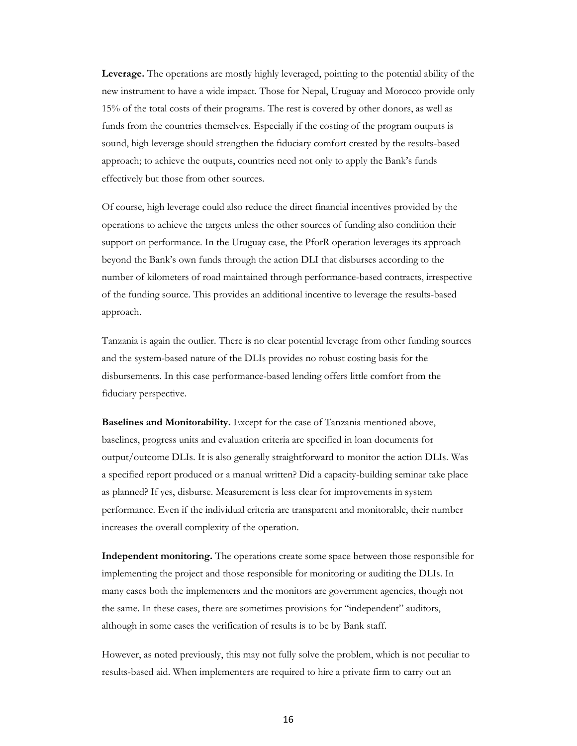**Leverage.** The operations are mostly highly leveraged, pointing to the potential ability of the new instrument to have a wide impact. Those for Nepal, Uruguay and Morocco provide only 15% of the total costs of their programs. The rest is covered by other donors, as well as funds from the countries themselves. Especially if the costing of the program outputs is sound, high leverage should strengthen the fiduciary comfort created by the results-based approach; to achieve the outputs, countries need not only to apply the Bank's funds effectively but those from other sources.

Of course, high leverage could also reduce the direct financial incentives provided by the operations to achieve the targets unless the other sources of funding also condition their support on performance. In the Uruguay case, the PforR operation leverages its approach beyond the Bank's own funds through the action DLI that disburses according to the number of kilometers of road maintained through performance-based contracts, irrespective of the funding source. This provides an additional incentive to leverage the results-based approach.

Tanzania is again the outlier. There is no clear potential leverage from other funding sources and the system-based nature of the DLIs provides no robust costing basis for the disbursements. In this case performance-based lending offers little comfort from the fiduciary perspective.

**Baselines and Monitorability.** Except for the case of Tanzania mentioned above, baselines, progress units and evaluation criteria are specified in loan documents for output/outcome DLIs. It is also generally straightforward to monitor the action DLIs. Was a specified report produced or a manual written? Did a capacity-building seminar take place as planned? If yes, disburse. Measurement is less clear for improvements in system performance. Even if the individual criteria are transparent and monitorable, their number increases the overall complexity of the operation.

**Independent monitoring.** The operations create some space between those responsible for implementing the project and those responsible for monitoring or auditing the DLIs. In many cases both the implementers and the monitors are government agencies, though not the same. In these cases, there are sometimes provisions for "independent" auditors, although in some cases the verification of results is to be by Bank staff.

However, as noted previously, this may not fully solve the problem, which is not peculiar to results-based aid. When implementers are required to hire a private firm to carry out an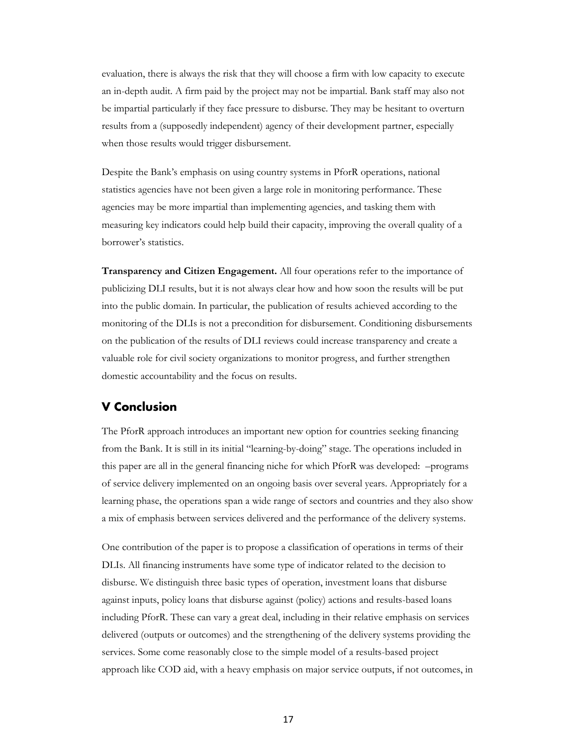evaluation, there is always the risk that they will choose a firm with low capacity to execute an in-depth audit. A firm paid by the project may not be impartial. Bank staff may also not be impartial particularly if they face pressure to disburse. They may be hesitant to overturn results from a (supposedly independent) agency of their development partner, especially when those results would trigger disbursement.

Despite the Bank's emphasis on using country systems in PforR operations, national statistics agencies have not been given a large role in monitoring performance. These agencies may be more impartial than implementing agencies, and tasking them with measuring key indicators could help build their capacity, improving the overall quality of a borrower's statistics.

**Transparency and Citizen Engagement.** All four operations refer to the importance of publicizing DLI results, but it is not always clear how and how soon the results will be put into the public domain. In particular, the publication of results achieved according to the monitoring of the DLIs is not a precondition for disbursement. Conditioning disbursements on the publication of the results of DLI reviews could increase transparency and create a valuable role for civil society organizations to monitor progress, and further strengthen domestic accountability and the focus on results.

## <span id="page-20-0"></span>**V Conclusion**

The PforR approach introduces an important new option for countries seeking financing from the Bank. It is still in its initial "learning-by-doing" stage. The operations included in this paper are all in the general financing niche for which PforR was developed: –programs of service delivery implemented on an ongoing basis over several years. Appropriately for a learning phase, the operations span a wide range of sectors and countries and they also show a mix of emphasis between services delivered and the performance of the delivery systems.

One contribution of the paper is to propose a classification of operations in terms of their DLIs. All financing instruments have some type of indicator related to the decision to disburse. We distinguish three basic types of operation, investment loans that disburse against inputs, policy loans that disburse against (policy) actions and results-based loans including PforR. These can vary a great deal, including in their relative emphasis on services delivered (outputs or outcomes) and the strengthening of the delivery systems providing the services. Some come reasonably close to the simple model of a results-based project approach like COD aid, with a heavy emphasis on major service outputs, if not outcomes, in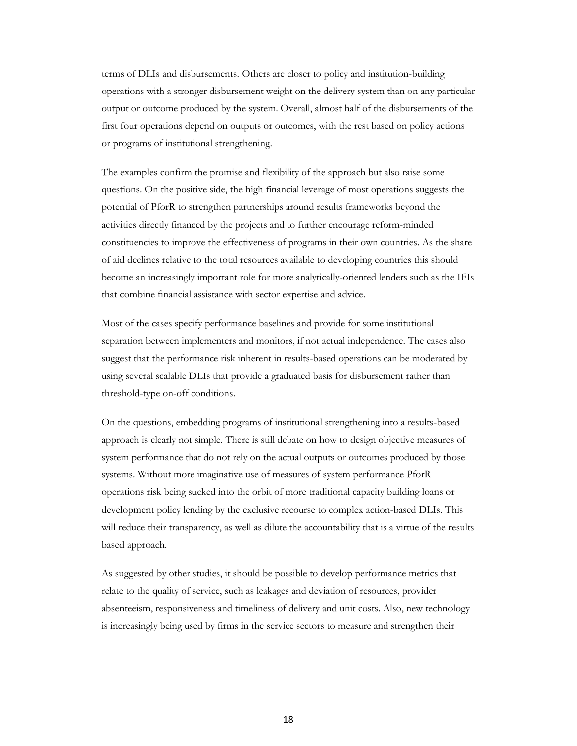terms of DLIs and disbursements. Others are closer to policy and institution-building operations with a stronger disbursement weight on the delivery system than on any particular output or outcome produced by the system. Overall, almost half of the disbursements of the first four operations depend on outputs or outcomes, with the rest based on policy actions or programs of institutional strengthening.

The examples confirm the promise and flexibility of the approach but also raise some questions. On the positive side, the high financial leverage of most operations suggests the potential of PforR to strengthen partnerships around results frameworks beyond the activities directly financed by the projects and to further encourage reform-minded constituencies to improve the effectiveness of programs in their own countries. As the share of aid declines relative to the total resources available to developing countries this should become an increasingly important role for more analytically-oriented lenders such as the IFIs that combine financial assistance with sector expertise and advice.

Most of the cases specify performance baselines and provide for some institutional separation between implementers and monitors, if not actual independence. The cases also suggest that the performance risk inherent in results-based operations can be moderated by using several scalable DLIs that provide a graduated basis for disbursement rather than threshold-type on-off conditions.

On the questions, embedding programs of institutional strengthening into a results-based approach is clearly not simple. There is still debate on how to design objective measures of system performance that do not rely on the actual outputs or outcomes produced by those systems. Without more imaginative use of measures of system performance PforR operations risk being sucked into the orbit of more traditional capacity building loans or development policy lending by the exclusive recourse to complex action-based DLIs. This will reduce their transparency, as well as dilute the accountability that is a virtue of the results based approach.

As suggested by other studies, it should be possible to develop performance metrics that relate to the quality of service, such as leakages and deviation of resources, provider absenteeism, responsiveness and timeliness of delivery and unit costs. Also, new technology is increasingly being used by firms in the service sectors to measure and strengthen their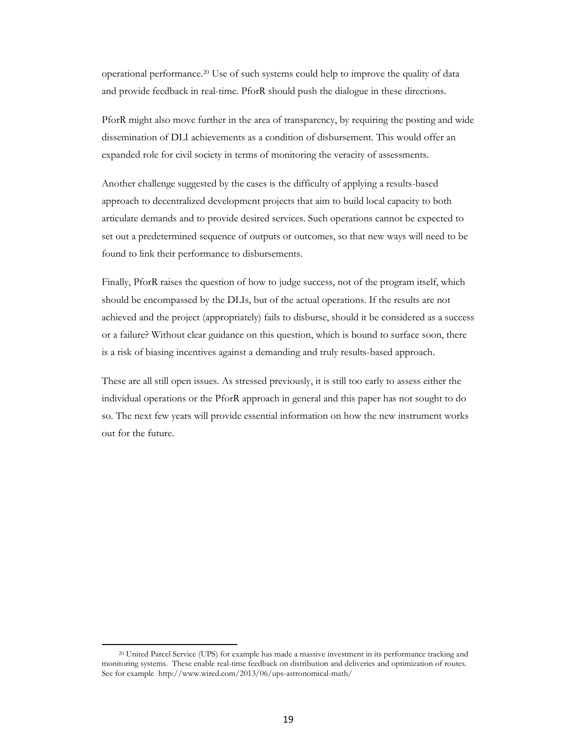operational performance.<sup>20</sup> Use of such systems could help to improve the quality of data and provide feedback in real-time. PforR should push the dialogue in these directions.

PforR might also move further in the area of transparency, by requiring the posting and wide dissemination of DLI achievements as a condition of disbursement. This would offer an expanded role for civil society in terms of monitoring the veracity of assessments.

Another challenge suggested by the cases is the difficulty of applying a results-based approach to decentralized development projects that aim to build local capacity to both articulate demands and to provide desired services. Such operations cannot be expected to set out a predetermined sequence of outputs or outcomes, so that new ways will need to be found to link their performance to disbursements.

Finally, PforR raises the question of how to judge success, not of the program itself, which should be encompassed by the DLIs, but of the actual operations. If the results are not achieved and the project (appropriately) fails to disburse, should it be considered as a success or a failure? Without clear guidance on this question, which is bound to surface soon, there is a risk of biasing incentives against a demanding and truly results-based approach.

These are all still open issues. As stressed previously, it is still too early to assess either the individual operations or the PforR approach in general and this paper has not sought to do so. The next few years will provide essential information on how the new instrument works out for the future.

l

<sup>20</sup> United Parcel Service (UPS) for example has made a massive investment in its performance tracking and monitoring systems. These enable real-time feedback on distribution and deliveries and optimization of routes. See for example http://www.wired.com/2013/06/ups-astronomical-math/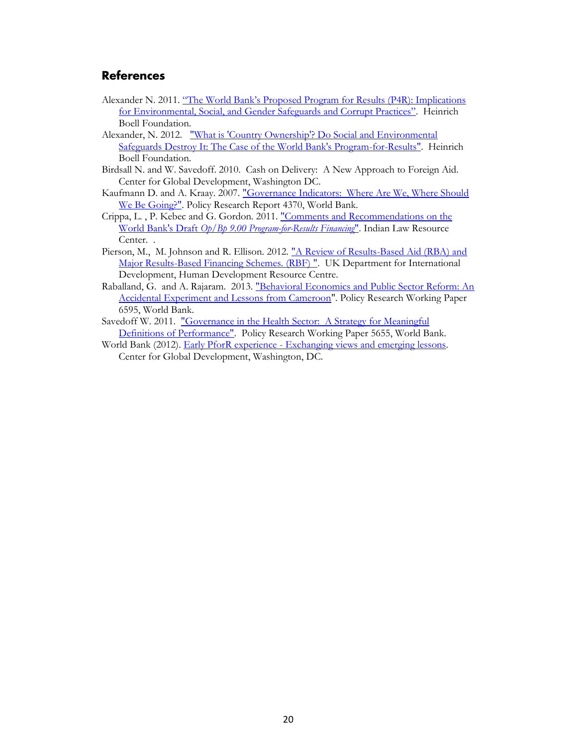# <span id="page-23-0"></span>**References**

- Alexander N. 2011. ["The World Bank's Proposed Program for Results \(P4R\): Implicati](http://us.boell.org/sites/default/files/downloads/Alexander_4-6-11_P4R_Critique-FINAL.pdf)ons [for Environmental, Social, and Gender Safeguards and Corrupt Practices"](http://us.boell.org/sites/default/files/downloads/Alexander_4-6-11_P4R_Critique-FINAL.pdf). Heinrich Boell Foundation.
- Alexander, N. 2012. "What is 'Country Ownership'? Do Social and Environmental [Safeguards Destroy It: The Case of the World Bank's Program-for-Results".](http://us.boell.org/2014/05/13/nancy-alexander-staff) Heinrich Boell Foundation.
- Birdsall N. and W. Savedoff. 2010. Cash on Delivery: A New Approach to Foreign Aid. Center for Global Development, Washington DC.
- Kaufmann D. and A. Kraay. 2007. ["Governance Indicators: Where Are We, Where Should](http://elibrary.worldbank.org/doi/pdf/10.1596/1813-9450-4370)  [We Be Going?".](http://elibrary.worldbank.org/doi/pdf/10.1596/1813-9450-4370) Policy Research Report 4370, World Bank.
- Crippa, L. , P. Kebec and G. Gordon. 2011[. "Comments and Recommendations on the](http://www.p4rcomments.org/uploads/Indian_Law_Resource_Center_2011-09-30_P4R_Comments_ENG_II.pdf)  World Bank's Draft *[Op/Bp 9.00 Program-for-Results Financing](http://www.p4rcomments.org/uploads/Indian_Law_Resource_Center_2011-09-30_P4R_Comments_ENG_II.pdf)*". Indian Law Resource Center. .
- Pierson, M., M. Johnson and R. Ellison. 2012. "A Review of Results-Based Aid (RBA) and [Major Results-Based Financing Schemes. \(RBF\) ".](http://www.oecd.org/dac/peer-reviews/Review-of-Major-RBA-and-RBF-Schemes.pdf) UK Department for International Development, Human Development Resource Centre.
- Raballand, G. and A. Rajaram. 2013. "Behavioral Economics and Public Sector Reform: An [Accidental Experiment and Lessons from Cameroon"](http://elibrary.worldbank.org/doi/pdf/10.1596/1813-9450-6595). Policy Research Working Paper 6595, World Bank.
- Savedoff W. 2011. "Governance in the Health Sector: A Strategy for Meaningful [Definitions of Performance".](http://elibrary.worldbank.org/doi/pdf/10.1596/1813-9450-5655) Policy Research Working Paper 5655, World Bank.
- World Bank (2012). Early PforR experience [Exchanging views and emerging lessons.](http://siteresources.worldbank.org/PROJECTS/Resources/40940-1244163232994/6180403-1340125811295/PforR_CGD_Event_final.pptx)  Center for Global Development, Washington, DC.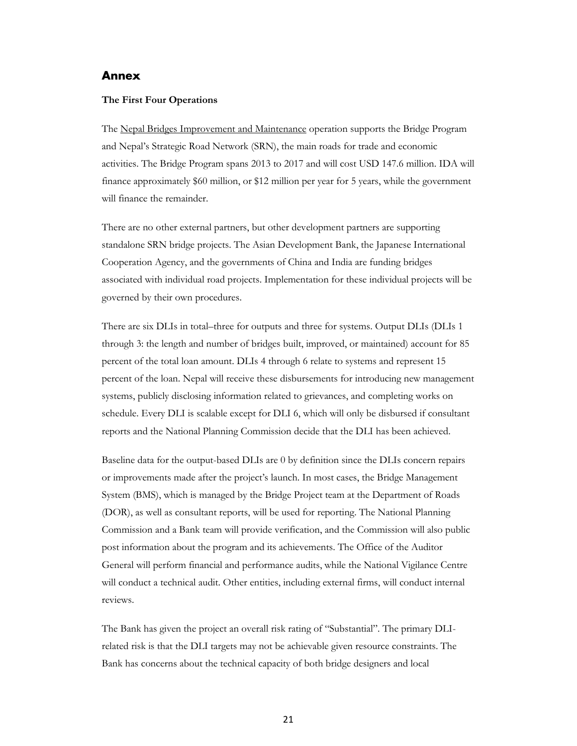#### <span id="page-24-0"></span>**Annex**

#### **The First Four Operations**

The Nepal Bridges Improvement and Maintenance operation supports the Bridge Program and Nepal's Strategic Road Network (SRN), the main roads for trade and economic activities. The Bridge Program spans 2013 to 2017 and will cost USD 147.6 million. IDA will finance approximately \$60 million, or \$12 million per year for 5 years, while the government will finance the remainder.

There are no other external partners, but other development partners are supporting standalone SRN bridge projects. The Asian Development Bank, the Japanese International Cooperation Agency, and the governments of China and India are funding bridges associated with individual road projects. Implementation for these individual projects will be governed by their own procedures.

There are six DLIs in total–three for outputs and three for systems. Output DLIs (DLIs 1 through 3: the length and number of bridges built, improved, or maintained) account for 85 percent of the total loan amount. DLIs 4 through 6 relate to systems and represent 15 percent of the loan. Nepal will receive these disbursements for introducing new management systems, publicly disclosing information related to grievances, and completing works on schedule. Every DLI is scalable except for DLI 6, which will only be disbursed if consultant reports and the National Planning Commission decide that the DLI has been achieved.

Baseline data for the output-based DLIs are 0 by definition since the DLIs concern repairs or improvements made after the project's launch. In most cases, the Bridge Management System (BMS), which is managed by the Bridge Project team at the Department of Roads (DOR), as well as consultant reports, will be used for reporting. The National Planning Commission and a Bank team will provide verification, and the Commission will also public post information about the program and its achievements. The Office of the Auditor General will perform financial and performance audits, while the National Vigilance Centre will conduct a technical audit. Other entities, including external firms, will conduct internal reviews.

The Bank has given the project an overall risk rating of "Substantial". The primary DLIrelated risk is that the DLI targets may not be achievable given resource constraints. The Bank has concerns about the technical capacity of both bridge designers and local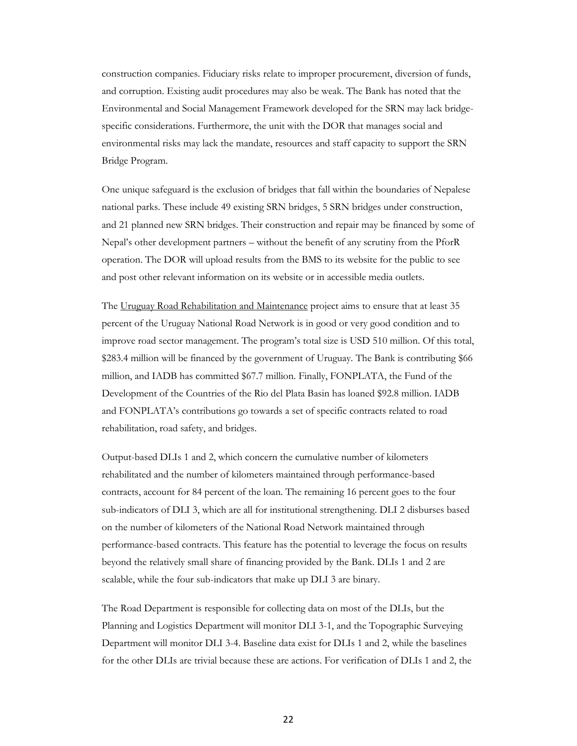construction companies. Fiduciary risks relate to improper procurement, diversion of funds, and corruption. Existing audit procedures may also be weak. The Bank has noted that the Environmental and Social Management Framework developed for the SRN may lack bridgespecific considerations. Furthermore, the unit with the DOR that manages social and environmental risks may lack the mandate, resources and staff capacity to support the SRN Bridge Program.

One unique safeguard is the exclusion of bridges that fall within the boundaries of Nepalese national parks. These include 49 existing SRN bridges, 5 SRN bridges under construction, and 21 planned new SRN bridges. Their construction and repair may be financed by some of Nepal's other development partners – without the benefit of any scrutiny from the PforR operation. The DOR will upload results from the BMS to its website for the public to see and post other relevant information on its website or in accessible media outlets.

The Uruguay Road Rehabilitation and Maintenance project aims to ensure that at least 35 percent of the Uruguay National Road Network is in good or very good condition and to improve road sector management. The program's total size is USD 510 million. Of this total, \$283.4 million will be financed by the government of Uruguay. The Bank is contributing \$66 million, and IADB has committed \$67.7 million. Finally, FONPLATA, the Fund of the Development of the Countries of the Rio del Plata Basin has loaned \$92.8 million. IADB and FONPLATA's contributions go towards a set of specific contracts related to road rehabilitation, road safety, and bridges.

Output-based DLIs 1 and 2, which concern the cumulative number of kilometers rehabilitated and the number of kilometers maintained through performance-based contracts, account for 84 percent of the loan. The remaining 16 percent goes to the four sub-indicators of DLI 3, which are all for institutional strengthening. DLI 2 disburses based on the number of kilometers of the National Road Network maintained through performance-based contracts. This feature has the potential to leverage the focus on results beyond the relatively small share of financing provided by the Bank. DLIs 1 and 2 are scalable, while the four sub-indicators that make up DLI 3 are binary.

The Road Department is responsible for collecting data on most of the DLIs, but the Planning and Logistics Department will monitor DLI 3-1, and the Topographic Surveying Department will monitor DLI 3-4. Baseline data exist for DLIs 1 and 2, while the baselines for the other DLIs are trivial because these are actions. For verification of DLIs 1 and 2, the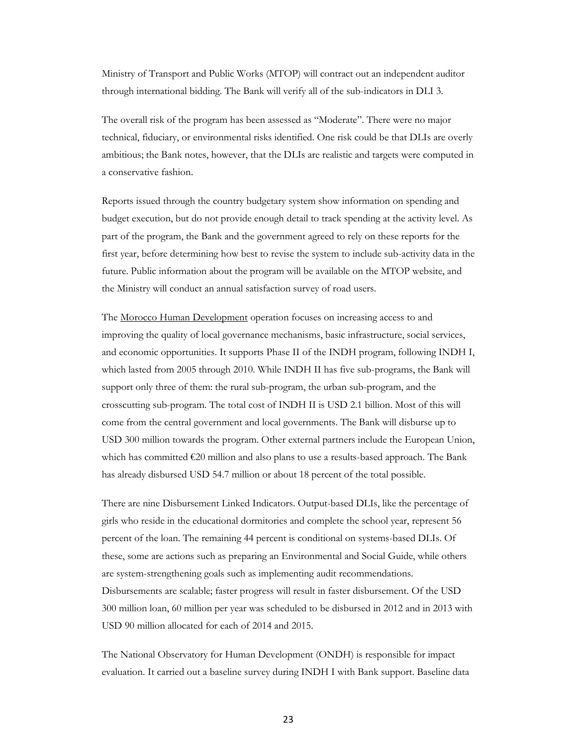Ministry of Transport and Public Works (MTOP) will contract out an independent auditor through international bidding. The Bank will verify all of the sub-indicators in DLI 3.

The overall risk of the program has been assessed as "Moderate". There were no major technical, fiduciary, or environmental risks identified. One risk could be that DLIs are overly ambitious; the Bank notes, however, that the DLIs are realistic and targets were computed in a conservative fashion.

Reports issued through the country budgetary system show information on spending and budget execution, but do not provide enough detail to track spending at the activity level. As part of the program, the Bank and the government agreed to rely on these reports for the first year, before determining how best to revise the system to include sub-activity data in the future. Public information about the program will be available on the MTOP website, and the Ministry will conduct an annual satisfaction survey of road users.

The <u>Morocco Human Development</u> operation focuses on increasing access to and improving the quality of local governance mechanisms, basic infrastructure, social services, and economic opportunities. It supports Phase II of the INDH program, following INDH I, which lasted from 2005 through 2010. While INDH II has five sub-programs, the Bank will support only three of them: the rural sub-program, the urban sub-program, and the crosscutting sub-program. The total cost of INDH II is USD 2.1 billion. Most of this will come from the central government and local governments. The Bank will disburse up to USD 300 million towards the program. Other external partners include the European Union, which has committed  $\epsilon$ 20 million and also plans to use a results-based approach. The Bank has already disbursed USD 54.7 million or about 18 percent of the total possible.

There are nine Disbursement Linked Indicators. Output-based DLIs, like the percentage of girls who reside in the educational dormitories and complete the school year, represent 56 percent of the loan. The remaining 44 percent is conditional on systems-based DLIs. Of these, some are actions such as preparing an Environmental and Social Guide, while others are system-strengthening goals such as implementing audit recommendations. Disbursements are scalable; faster progress will result in faster disbursement. Of the USD 300 million loan, 60 million per year was scheduled to be disbursed in 2012 and in 2013 with USD 90 million allocated for each of 2014 and 2015.

The National Observatory for Human Development (ONDH) is responsible for impact evaluation. It carried out a baseline survey during INDH I with Bank support. Baseline data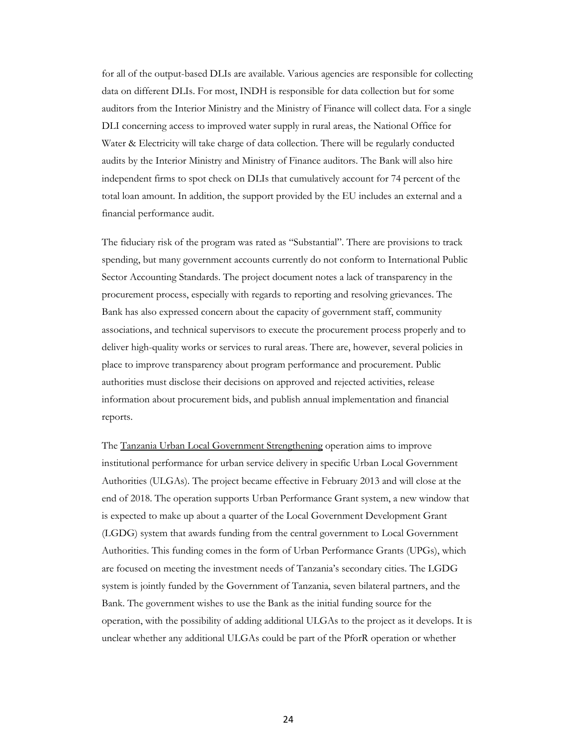for all of the output-based DLIs are available. Various agencies are responsible for collecting data on different DLIs. For most, INDH is responsible for data collection but for some auditors from the Interior Ministry and the Ministry of Finance will collect data. For a single DLI concerning access to improved water supply in rural areas, the National Office for Water & Electricity will take charge of data collection. There will be regularly conducted audits by the Interior Ministry and Ministry of Finance auditors. The Bank will also hire independent firms to spot check on DLIs that cumulatively account for 74 percent of the total loan amount. In addition, the support provided by the EU includes an external and a financial performance audit.

The fiduciary risk of the program was rated as "Substantial". There are provisions to track spending, but many government accounts currently do not conform to International Public Sector Accounting Standards. The project document notes a lack of transparency in the procurement process, especially with regards to reporting and resolving grievances. The Bank has also expressed concern about the capacity of government staff, community associations, and technical supervisors to execute the procurement process properly and to deliver high-quality works or services to rural areas. There are, however, several policies in place to improve transparency about program performance and procurement. Public authorities must disclose their decisions on approved and rejected activities, release information about procurement bids, and publish annual implementation and financial reports.

The Tanzania Urban Local Government Strengthening operation aims to improve institutional performance for urban service delivery in specific Urban Local Government Authorities (ULGAs). The project became effective in February 2013 and will close at the end of 2018. The operation supports Urban Performance Grant system, a new window that is expected to make up about a quarter of the Local Government Development Grant (LGDG) system that awards funding from the central government to Local Government Authorities. This funding comes in the form of Urban Performance Grants (UPGs), which are focused on meeting the investment needs of Tanzania's secondary cities. The LGDG system is jointly funded by the Government of Tanzania, seven bilateral partners, and the Bank. The government wishes to use the Bank as the initial funding source for the operation, with the possibility of adding additional ULGAs to the project as it develops. It is unclear whether any additional ULGAs could be part of the PforR operation or whether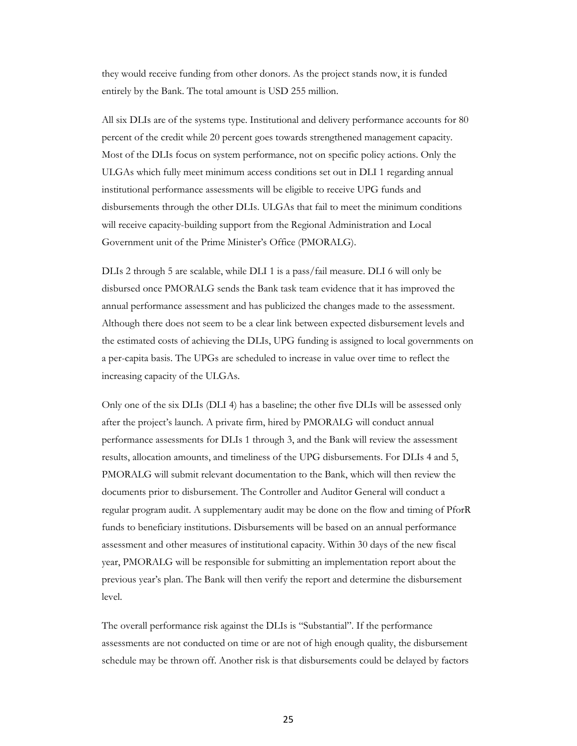they would receive funding from other donors. As the project stands now, it is funded entirely by the Bank. The total amount is USD 255 million.

All six DLIs are of the systems type. Institutional and delivery performance accounts for 80 percent of the credit while 20 percent goes towards strengthened management capacity. Most of the DLIs focus on system performance, not on specific policy actions. Only the ULGAs which fully meet minimum access conditions set out in DLI 1 regarding annual institutional performance assessments will be eligible to receive UPG funds and disbursements through the other DLIs. ULGAs that fail to meet the minimum conditions will receive capacity-building support from the Regional Administration and Local Government unit of the Prime Minister's Office (PMORALG).

DLIs 2 through 5 are scalable, while DLI 1 is a pass/fail measure. DLI 6 will only be disbursed once PMORALG sends the Bank task team evidence that it has improved the annual performance assessment and has publicized the changes made to the assessment. Although there does not seem to be a clear link between expected disbursement levels and the estimated costs of achieving the DLIs, UPG funding is assigned to local governments on a per-capita basis. The UPGs are scheduled to increase in value over time to reflect the increasing capacity of the ULGAs.

Only one of the six DLIs (DLI 4) has a baseline; the other five DLIs will be assessed only after the project's launch. A private firm, hired by PMORALG will conduct annual performance assessments for DLIs 1 through 3, and the Bank will review the assessment results, allocation amounts, and timeliness of the UPG disbursements. For DLIs 4 and 5, PMORALG will submit relevant documentation to the Bank, which will then review the documents prior to disbursement. The Controller and Auditor General will conduct a regular program audit. A supplementary audit may be done on the flow and timing of PforR funds to beneficiary institutions. Disbursements will be based on an annual performance assessment and other measures of institutional capacity. Within 30 days of the new fiscal year, PMORALG will be responsible for submitting an implementation report about the previous year's plan. The Bank will then verify the report and determine the disbursement level.

The overall performance risk against the DLIs is "Substantial". If the performance assessments are not conducted on time or are not of high enough quality, the disbursement schedule may be thrown off. Another risk is that disbursements could be delayed by factors